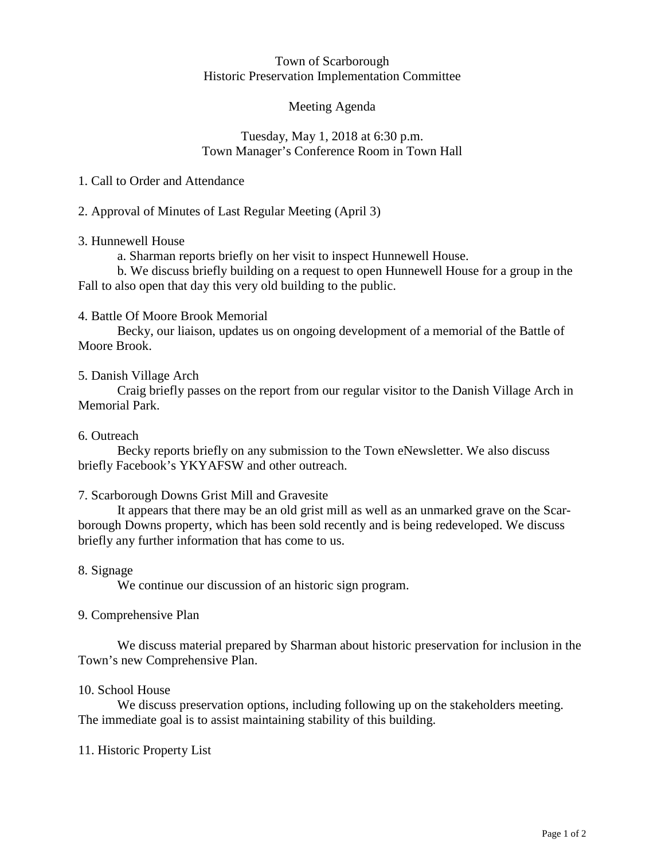#### Town of Scarborough Historic Preservation Implementation Committee

## Meeting Agenda

### Tuesday, May 1, 2018 at 6:30 p.m. Town Manager's Conference Room in Town Hall

## 1. Call to Order and Attendance

# 2. Approval of Minutes of Last Regular Meeting (April 3)

### 3. Hunnewell House

a. Sharman reports briefly on her visit to inspect Hunnewell House.

b. We discuss briefly building on a request to open Hunnewell House for a group in the Fall to also open that day this very old building to the public.

### 4. Battle Of Moore Brook Memorial

Becky, our liaison, updates us on ongoing development of a memorial of the Battle of Moore Brook.

### 5. Danish Village Arch

Craig briefly passes on the report from our regular visitor to the Danish Village Arch in Memorial Park.

### 6. Outreach

Becky reports briefly on any submission to the Town eNewsletter. We also discuss briefly Facebook's YKYAFSW and other outreach.

# 7. Scarborough Downs Grist Mill and Gravesite

It appears that there may be an old grist mill as well as an unmarked grave on the Scarborough Downs property, which has been sold recently and is being redeveloped. We discuss briefly any further information that has come to us.

### 8. Signage

We continue our discussion of an historic sign program.

### 9. Comprehensive Plan

We discuss material prepared by Sharman about historic preservation for inclusion in the Town's new Comprehensive Plan.

### 10. School House

We discuss preservation options, including following up on the stakeholders meeting. The immediate goal is to assist maintaining stability of this building.

### 11. Historic Property List